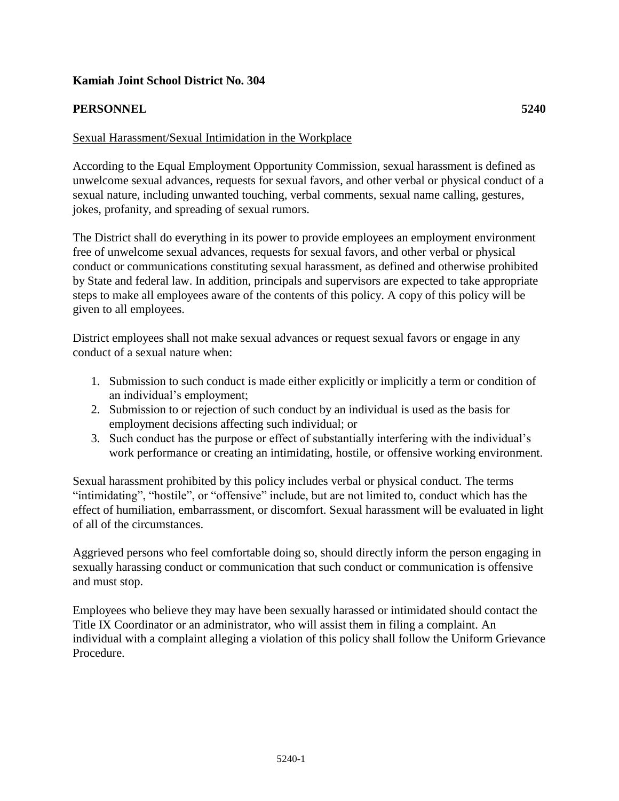# **Kamiah Joint School District No. 304**

# **PERSONNEL 5240**

## Sexual Harassment/Sexual Intimidation in the Workplace

According to the Equal Employment Opportunity Commission, sexual harassment is defined as unwelcome sexual advances, requests for sexual favors, and other verbal or physical conduct of a sexual nature, including unwanted touching, verbal comments, sexual name calling, gestures, jokes, profanity, and spreading of sexual rumors.

The District shall do everything in its power to provide employees an employment environment free of unwelcome sexual advances, requests for sexual favors, and other verbal or physical conduct or communications constituting sexual harassment, as defined and otherwise prohibited by State and federal law. In addition, principals and supervisors are expected to take appropriate steps to make all employees aware of the contents of this policy. A copy of this policy will be given to all employees.

District employees shall not make sexual advances or request sexual favors or engage in any conduct of a sexual nature when:

- 1. Submission to such conduct is made either explicitly or implicitly a term or condition of an individual's employment;
- 2. Submission to or rejection of such conduct by an individual is used as the basis for employment decisions affecting such individual; or
- 3. Such conduct has the purpose or effect of substantially interfering with the individual's work performance or creating an intimidating, hostile, or offensive working environment.

Sexual harassment prohibited by this policy includes verbal or physical conduct. The terms "intimidating", "hostile", or "offensive" include, but are not limited to, conduct which has the effect of humiliation, embarrassment, or discomfort. Sexual harassment will be evaluated in light of all of the circumstances.

Aggrieved persons who feel comfortable doing so, should directly inform the person engaging in sexually harassing conduct or communication that such conduct or communication is offensive and must stop.

Employees who believe they may have been sexually harassed or intimidated should contact the Title IX Coordinator or an administrator, who will assist them in filing a complaint. An individual with a complaint alleging a violation of this policy shall follow the Uniform Grievance Procedure.